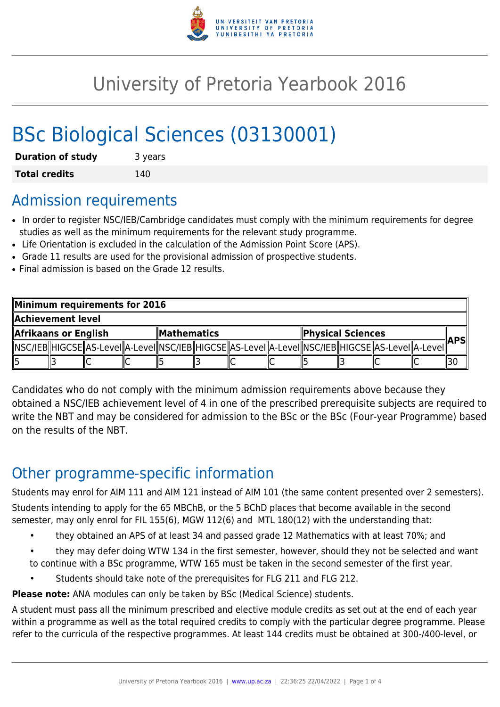

# University of Pretoria Yearbook 2016

# BSc Biological Sciences (03130001)

| <b>Duration of study</b> | 3 years |
|--------------------------|---------|
| <b>Total credits</b>     | 140     |

### Admission requirements

- In order to register NSC/IEB/Cambridge candidates must comply with the minimum requirements for degree studies as well as the minimum requirements for the relevant study programme.
- Life Orientation is excluded in the calculation of the Admission Point Score (APS).
- Grade 11 results are used for the provisional admission of prospective students.
- Final admission is based on the Grade 12 results.

| Minimum requirements for 2016 |  |  |                    |  |  |                          |  |  |  |                                                                                                              |  |            |
|-------------------------------|--|--|--------------------|--|--|--------------------------|--|--|--|--------------------------------------------------------------------------------------------------------------|--|------------|
| Achievement level             |  |  |                    |  |  |                          |  |  |  |                                                                                                              |  |            |
| Afrikaans or English          |  |  | <b>Mathematics</b> |  |  | <b>Physical Sciences</b> |  |  |  |                                                                                                              |  |            |
|                               |  |  |                    |  |  |                          |  |  |  | [ NSC/IEB  HIGCSE  AS-LeveI  A-LeveI  NSC/IEB  HIGCSE  AS-LeveI  A-LeveI  NSC/IEB  HIGCSE  AS-LeveI  A-LeveI |  | <b>APS</b> |
|                               |  |  |                    |  |  |                          |  |  |  |                                                                                                              |  |            |

Candidates who do not comply with the minimum admission requirements above because they obtained a NSC/IEB achievement level of 4 in one of the prescribed prerequisite subjects are required to write the NBT and may be considered for admission to the BSc or the BSc (Four-year Programme) based on the results of the NBT.

# Other programme-specific information

Students may enrol for AIM 111 and AIM 121 instead of AIM 101 (the same content presented over 2 semesters).

Students intending to apply for the 65 MBChB, or the 5 BChD places that become available in the second semester, may only enrol for FIL 155(6), MGW 112(6) and MTL 180(12) with the understanding that:

- they obtained an APS of at least 34 and passed grade 12 Mathematics with at least 70%; and
- they may defer doing WTW 134 in the first semester, however, should they not be selected and want to continue with a BSc programme, WTW 165 must be taken in the second semester of the first year.
	- Students should take note of the prerequisites for FLG 211 and FLG 212.

**Please note:** ANA modules can only be taken by BSc (Medical Science) students.

A student must pass all the minimum prescribed and elective module credits as set out at the end of each year within a programme as well as the total required credits to comply with the particular degree programme. Please refer to the curricula of the respective programmes. At least 144 credits must be obtained at 300-/400-level, or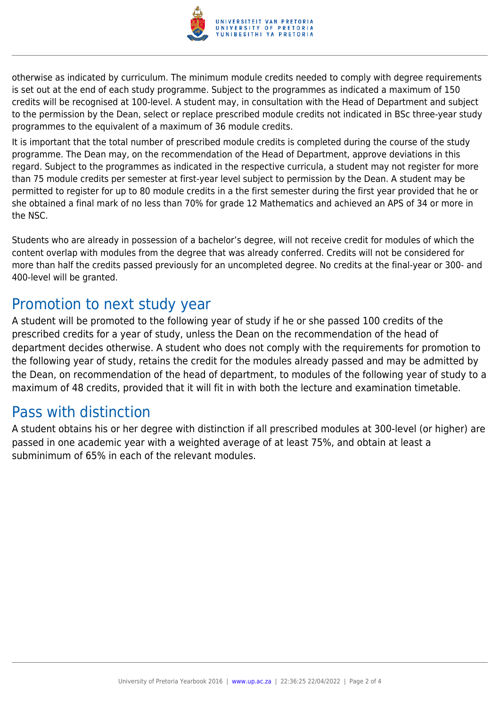

otherwise as indicated by curriculum. The minimum module credits needed to comply with degree requirements is set out at the end of each study programme. Subject to the programmes as indicated a maximum of 150 credits will be recognised at 100-level. A student may, in consultation with the Head of Department and subject to the permission by the Dean, select or replace prescribed module credits not indicated in BSc three-year study programmes to the equivalent of a maximum of 36 module credits.

It is important that the total number of prescribed module credits is completed during the course of the study programme. The Dean may, on the recommendation of the Head of Department, approve deviations in this regard. Subject to the programmes as indicated in the respective curricula, a student may not register for more than 75 module credits per semester at first-year level subject to permission by the Dean. A student may be permitted to register for up to 80 module credits in a the first semester during the first year provided that he or she obtained a final mark of no less than 70% for grade 12 Mathematics and achieved an APS of 34 or more in the NSC.

Students who are already in possession of a bachelor's degree, will not receive credit for modules of which the content overlap with modules from the degree that was already conferred. Credits will not be considered for more than half the credits passed previously for an uncompleted degree. No credits at the final-year or 300- and 400-level will be granted.

### Promotion to next study year

A student will be promoted to the following year of study if he or she passed 100 credits of the prescribed credits for a year of study, unless the Dean on the recommendation of the head of department decides otherwise. A student who does not comply with the requirements for promotion to the following year of study, retains the credit for the modules already passed and may be admitted by the Dean, on recommendation of the head of department, to modules of the following year of study to a maximum of 48 credits, provided that it will fit in with both the lecture and examination timetable.

### Pass with distinction

A student obtains his or her degree with distinction if all prescribed modules at 300-level (or higher) are passed in one academic year with a weighted average of at least 75%, and obtain at least a subminimum of 65% in each of the relevant modules.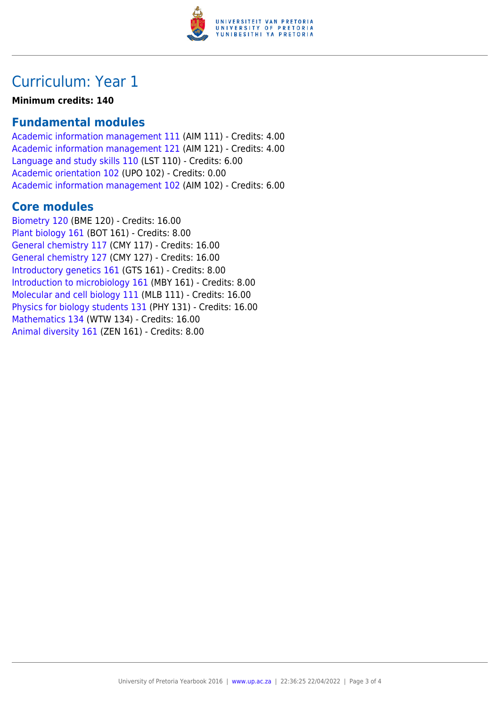

## Curriculum: Year 1

#### **Minimum credits: 140**

### **Fundamental modules**

[Academic information management 111](https://www.up.ac.za/parents/yearbooks/2016/modules/view/AIM 111) (AIM 111) - Credits: 4.00 [Academic information management 121](https://www.up.ac.za/parents/yearbooks/2016/modules/view/AIM 121) (AIM 121) - Credits: 4.00 [Language and study skills 110](https://www.up.ac.za/parents/yearbooks/2016/modules/view/LST 110) (LST 110) - Credits: 6.00 [Academic orientation 102](https://www.up.ac.za/parents/yearbooks/2016/modules/view/UPO 102) (UPO 102) - Credits: 0.00 [Academic information management 102](https://www.up.ac.za/parents/yearbooks/2016/modules/view/AIM 102) (AIM 102) - Credits: 6.00

### **Core modules**

[Biometry 120](https://www.up.ac.za/parents/yearbooks/2016/modules/view/BME 120) (BME 120) - Credits: 16.00 [Plant biology 161](https://www.up.ac.za/parents/yearbooks/2016/modules/view/BOT 161) (BOT 161) - Credits: 8.00 [General chemistry 117](https://www.up.ac.za/parents/yearbooks/2016/modules/view/CMY 117) (CMY 117) - Credits: 16.00 [General chemistry 127](https://www.up.ac.za/parents/yearbooks/2016/modules/view/CMY 127) (CMY 127) - Credits: 16.00 [Introductory genetics 161](https://www.up.ac.za/parents/yearbooks/2016/modules/view/GTS 161) (GTS 161) - Credits: 8.00 [Introduction to microbiology 161](https://www.up.ac.za/parents/yearbooks/2016/modules/view/MBY 161) (MBY 161) - Credits: 8.00 [Molecular and cell biology 111](https://www.up.ac.za/parents/yearbooks/2016/modules/view/MLB 111) (MLB 111) - Credits: 16.00 [Physics for biology students 131](https://www.up.ac.za/parents/yearbooks/2016/modules/view/PHY 131) (PHY 131) - Credits: 16.00 [Mathematics 134](https://www.up.ac.za/parents/yearbooks/2016/modules/view/WTW 134) (WTW 134) - Credits: 16.00 [Animal diversity 161](https://www.up.ac.za/parents/yearbooks/2016/modules/view/ZEN 161) (ZEN 161) - Credits: 8.00